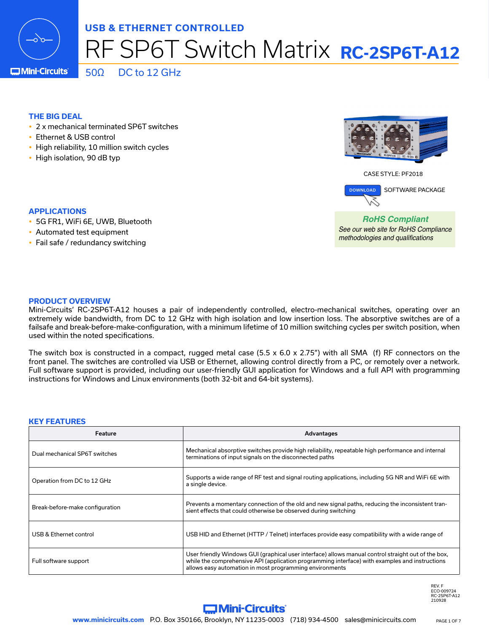

# RF SP6T Switch Matrix **RC-2SP6T-A12**

**IMini-Circuits** 

 $50Ω$  DC to 12 GHz

### **THE BIG DEAL**

- 2 x mechanical terminated SP6T switches
- Ethernet & USB control
- High reliability, 10 million switch cycles
- High isolation, 90 dB typ

### **APPLICATIONS**

- 5G FR1, WiFi 6E, UWB, Bluetooth
- Automated test equipment
- $\cdot$  Fail safe / redundancy switching





*RoHS Compliant See our web site for RoHS Compliance methodologies and qualifications*

### **PRODUCT OVERVIEW**

Mini-Circuits' RC-2SP6T-A12 houses a pair of independently controlled, electro-mechanical switches, operating over an extremely wide bandwidth, from DC to 12 GHz with high isolation and low insertion loss. The absorptive switches are of a failsafe and break-before-make-configuration, with a minimum lifetime of 10 million switching cycles per switch position, when used within the noted specifications.

The switch box is constructed in a compact, rugged metal case  $(5.5 \times 6.0 \times 2.75)$  with all SMA (f) RF connectors on the front panel. The switches are controlled via USB or Ethernet, allowing control directly from a PC, or remotely over a network. Full software support is provided, including our user-friendly GUI application for Windows and a full API with programming instructions for Windows and Linux environments (both 32-bit and 64-bit systems).

#### **KEY FEATURES**

| Feature                         | Advantages                                                                                                                                                                                                                                                       |
|---------------------------------|------------------------------------------------------------------------------------------------------------------------------------------------------------------------------------------------------------------------------------------------------------------|
| Dual mechanical SP6T switches   | Mechanical absorptive switches provide high reliability, repeatable high performance and internal<br>terminations of input signals on the disconnected paths                                                                                                     |
| Operation from DC to 12 GHz     | Supports a wide range of RF test and signal routing applications, including 5G NR and WiFi 6E with<br>a single device.                                                                                                                                           |
| Break-before-make configuration | Prevents a momentary connection of the old and new signal paths, reducing the inconsistent tran-<br>sient effects that could otherwise be observed during switching                                                                                              |
| USB & Ethernet control          | USB HID and Ethernet (HTTP / Telnet) interfaces provide easy compatibility with a wide range of                                                                                                                                                                  |
| Full software support           | User friendly Windows GUI (graphical user interface) allows manual control straight out of the box,<br>while the comprehensive API (application programming interface) with examples and instructions<br>allows easy automation in most programming environments |

REV. F ECO-009724 RC-2SP6T-A12  $210928$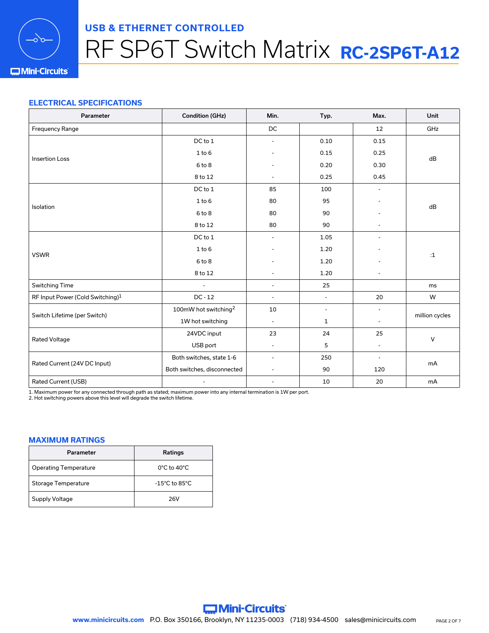

# RF SP6T Switch Matrix **RC-2SP6T-A12**

### **IMini-Circuits**

### **ELECTRICAL SPECIFICATIONS**

| Parameter                                    | <b>Condition (GHz)</b>           | Min.                     | Typ.                     | Max.                     | Unit           |  |
|----------------------------------------------|----------------------------------|--------------------------|--------------------------|--------------------------|----------------|--|
| Frequency Range                              |                                  | DC                       |                          | 12                       | GHz            |  |
|                                              | DC to 1                          | $\overline{\phantom{a}}$ | 0.10                     | 0.15                     |                |  |
| <b>Insertion Loss</b>                        | $1$ to $6$                       |                          | 0.15                     | 0.25                     | dB             |  |
|                                              | 6 to 8                           |                          | 0.20                     | 0.30                     |                |  |
|                                              | 8 to 12                          |                          | 0.25                     | 0.45                     |                |  |
|                                              | DC to 1                          | 85                       | 100                      | $\overline{a}$           |                |  |
| Isolation                                    | $1$ to $6$                       | 80                       | 95                       | ٠                        | dB             |  |
|                                              | 6 to 8                           | 80                       | 90                       |                          |                |  |
|                                              | 8 to 12                          | 80                       | 90                       | $\overline{a}$           |                |  |
|                                              | DC to 1                          | $\overline{\phantom{a}}$ | 1.05                     |                          |                |  |
| <b>VSWR</b>                                  | $1$ to $6$                       |                          | 1.20                     |                          | $\mathbf{1}$   |  |
|                                              | 6 to 8                           |                          | 1.20                     |                          |                |  |
|                                              | 8 to 12                          |                          | 1.20                     |                          |                |  |
| Switching Time                               | $\overline{a}$                   | $\blacksquare$           | 25                       |                          | ms             |  |
| RF Input Power (Cold Switching) <sup>1</sup> | $DC - 12$                        | $\overline{\phantom{a}}$ | $\overline{\phantom{a}}$ | 20                       | W              |  |
|                                              | 100mW hot switching <sup>2</sup> | 10                       | $\overline{\phantom{a}}$ | $\overline{\phantom{0}}$ |                |  |
| Switch Lifetime (per Switch)                 | 1W hot switching                 | $\overline{\phantom{a}}$ | $\mathbf{1}$             |                          | million cycles |  |
|                                              | 24VDC input                      | 23                       | 24                       | 25                       |                |  |
| Rated Voltage                                | USB port                         | $\overline{\phantom{a}}$ | 5                        | $\overline{\phantom{a}}$ | V              |  |
|                                              | Both switches, state 1-6         | $\blacksquare$           | 250                      | $\overline{\phantom{a}}$ |                |  |
| Rated Current (24V DC Input)                 | Both switches, disconnected      | $\overline{\phantom{a}}$ | 90                       | 120                      | mA             |  |
| Rated Current (USB)                          | $\overline{\phantom{a}}$         | $\overline{\phantom{a}}$ | 10                       | 20                       | mA             |  |

1. Maximum power for any connected through path as stated; maximum power into any internal termination is 1W per port.

2. Hot switching powers above this level will degrade the switch lifetime.

### **MAXIMUM RATINGS**

| Parameter                    | <b>Ratings</b>                      |
|------------------------------|-------------------------------------|
| <b>Operating Temperature</b> | $0^{\circ}$ C to 40 $^{\circ}$ C    |
| Storage Temperature          | $-15^{\circ}$ C to 85 $^{\circ}$ C. |
| Supply Voltage               | 26V                                 |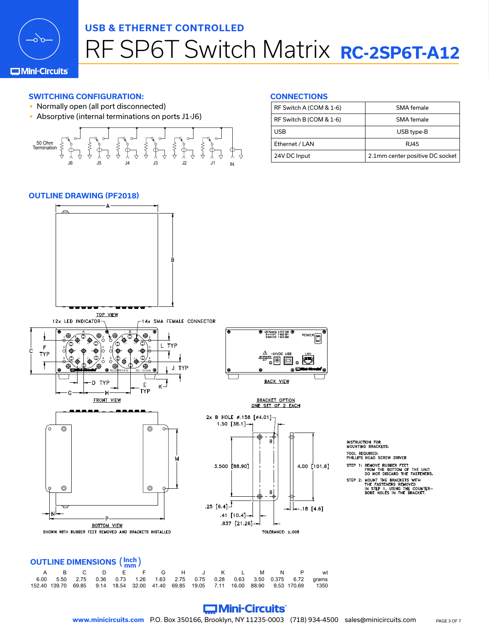

# RF SP6T Switch Matrix **RC-2SP6T-A12**

### **C**Mini-Circuits

## **SWITCHING CONFIGURATION:**

- Normally open (all port disconnected)
- Absorptive (internal terminations on ports J1-J6)

J6 J5 J4 J3 J2 J1 IN 50 Ohm Termination

#### **CONNECTIONS**

| RF Switch A (COM & 1-6) | SMA female                      |
|-------------------------|---------------------------------|
| RF Switch B (COM & 1-6) | SMA female                      |
| <b>USB</b>              | USB type-B                      |
| Ethernet / LAN          | RI45                            |
| 24V DC Input            | 2.1mm center positive DC socket |

### **OUTLINE DRAWING (PF2018)**



# **OUTLINE DIMENSIONS** (**Inch mm** )

|                                                                                          |  |  |  | . |  |  |  |
|------------------------------------------------------------------------------------------|--|--|--|---|--|--|--|
| A B C D E F G H J K L M N P wt                                                           |  |  |  |   |  |  |  |
| 6.00 5.50 2.75 0.36 0.73 1.26 1.63 2.75 0.75 0.28 0.63 3.50 0.375 6.72 grams             |  |  |  |   |  |  |  |
| 152.40 139.70 69.85 9.14 18.54 32.00 41.40 69.85 19.05 7.11 16.00 88.90 9.53 170.69 1350 |  |  |  |   |  |  |  |

# **Commi-Circuits**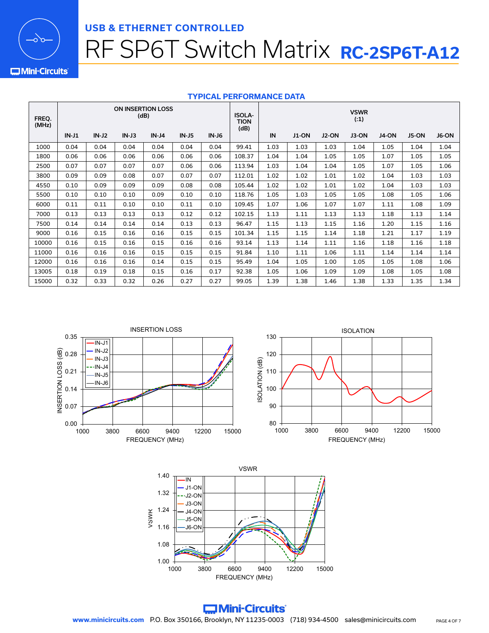

# RF SP6T Switch Matrix **RC-2SP6T-A12**

**IMini-Circuits** 

### **TYPICAL PERFORMANCE DATA**

| FREQ.<br>(MHz) | <b>ON INSERTION LOSS</b><br>(dB) |         |         |         |         |              | <b>ISOLA-</b><br>TION<br>(dB) |      |              |              | <b>VSWR</b><br>(.1) |       |       |       |
|----------------|----------------------------------|---------|---------|---------|---------|--------------|-------------------------------|------|--------------|--------------|---------------------|-------|-------|-------|
|                | $IN-J1$                          | $IN-J2$ | $IN-J3$ | $IN-J4$ | $IN-J5$ | <b>IN-J6</b> |                               | IN   | <b>J1-ON</b> | <b>J2-ON</b> | J3-ON               | J4-ON | J5-ON | J6-ON |
| 1000           | 0.04                             | 0.04    | 0.04    | 0.04    | 0.04    | 0.04         | 99.41                         | 1.03 | 1.03         | 1.03         | 1.04                | 1.05  | 1.04  | 1.04  |
| 1800           | 0.06                             | 0.06    | 0.06    | 0.06    | 0.06    | 0.06         | 108.37                        | 1.04 | 1.04         | 1.05         | 1.05                | 1.07  | 1.05  | 1.05  |
| 2500           | 0.07                             | 0.07    | 0.07    | 0.07    | 0.06    | 0.06         | 113.94                        | 1.03 | 1.04         | 1.04         | 1.05                | 1.07  | 1.05  | 1.06  |
| 3800           | 0.09                             | 0.09    | 0.08    | 0.07    | 0.07    | 0.07         | 112.01                        | 1.02 | 1.02         | 1.01         | 1.02                | 1.04  | 1.03  | 1.03  |
| 4550           | 0.10                             | 0.09    | 0.09    | 0.09    | 0.08    | 0.08         | 105.44                        | 1.02 | 1.02         | 1.01         | 1.02                | 1.04  | 1.03  | 1.03  |
| 5500           | 0.10                             | 0.10    | 0.10    | 0.09    | 0.10    | 0.10         | 118.76                        | 1.05 | 1.03         | 1.05         | 1.05                | 1.08  | 1.05  | 1.06  |
| 6000           | 0.11                             | 0.11    | 0.10    | 0.10    | 0.11    | 0.10         | 109.45                        | 1.07 | 1.06         | 1.07         | 1.07                | 1.11  | 1.08  | 1.09  |
| 7000           | 0.13                             | 0.13    | 0.13    | 0.13    | 0.12    | 0.12         | 102.15                        | 1.13 | 1.11         | 1.13         | 1.13                | 1.18  | 1.13  | 1.14  |
| 7500           | 0.14                             | 0.14    | 0.14    | 0.14    | 0.13    | 0.13         | 96.47                         | 1.15 | 1.13         | 1.15         | 1.16                | 1.20  | 1.15  | 1.16  |
| 9000           | 0.16                             | 0.15    | 0.16    | 0.16    | 0.15    | 0.15         | 101.34                        | 1.15 | 1.15         | 1.14         | 1.18                | 1.21  | 1.17  | 1.19  |
| 10000          | 0.16                             | 0.15    | 0.16    | 0.15    | 0.16    | 0.16         | 93.14                         | 1.13 | 1.14         | 1.11         | 1.16                | 1.18  | 1.16  | 1.18  |
| 11000          | 0.16                             | 0.16    | 0.16    | 0.15    | 0.15    | 0.15         | 91.84                         | 1.10 | 1.11         | 1.06         | 1.11                | 1.14  | 1.14  | 1.14  |
| 12000          | 0.16                             | 0.16    | 0.16    | 0.14    | 0.15    | 0.15         | 95.49                         | 1.04 | 1.05         | 1.00         | 1.05                | 1.05  | 1.08  | 1.06  |
| 13005          | 0.18                             | 0.19    | 0.18    | 0.15    | 0.16    | 0.17         | 92.38                         | 1.05 | 1.06         | 1.09         | 1.09                | 1.08  | 1.05  | 1.08  |
| 15000          | 0.32                             | 0.33    | 0.32    | 0.26    | 0.27    | 0.27         | 99.05                         | 1.39 | 1.38         | 1.46         | 1.38                | 1.33  | 1.35  | 1.34  |



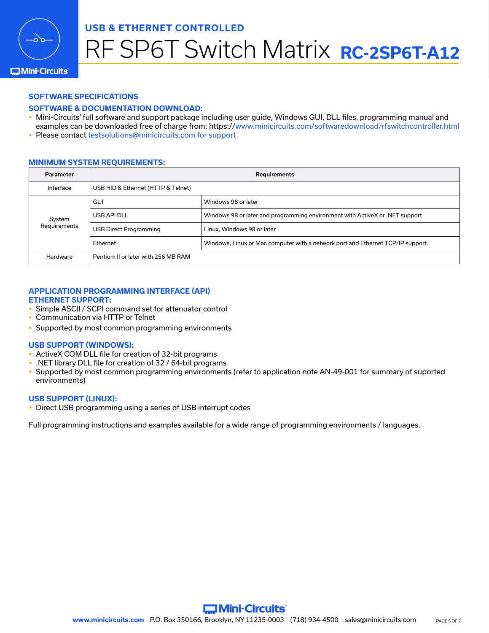

# RF SP6T Switch Matrix **RC-2SP6T-A12**

### **Mini-Circuits**

### **SOFTWARE SPECIFICATIONS**

### **SOFTWARE & DOCUMENTATION DOWNLOAD:**

- Mini-Circuits' full software and support package including user guide, Windows GUI, DLL files, programming manual and examples can be downloaded free of charge from: <https://www.minicircuits.com/softwaredownload/rfswitchcontroller.html>
- Please contact [testsolutions@minicircuits.com](mailto:testsolutions%40minicircuits.com?subject=) for support

### **MINIMUM SYSTEM REQUIREMENTS:**

| <b>Parameter</b>       | <b>Requirements</b>                 |                                                                                |  |  |  |
|------------------------|-------------------------------------|--------------------------------------------------------------------------------|--|--|--|
| Interface              | USB HID & Ethernet (HTTP & Telnet)  |                                                                                |  |  |  |
|                        | <b>GUI</b>                          | Windows 98 or later                                                            |  |  |  |
| System<br>Requirements | USB API DLL                         | Windows 98 or later and programming environment with ActiveX or .NET support   |  |  |  |
|                        | <b>USB Direct Programming</b>       | Linux, Windows 98 or later                                                     |  |  |  |
|                        | Ethernet                            | Windows, Linux or Mac computer with a network port and Ethernet TCP/IP support |  |  |  |
| Hardware               | Pentium II or later with 256 MB RAM |                                                                                |  |  |  |

#### **APPLICATION PROGRAMMING INTERFACE (API) ETHERNET SUPPORT:**

- Simple ASCII / SCPI command set for attenuator control
- Communication via HTTP or Telnet
- Supported by most common programming environments

### **USB SUPPORT (WINDOWS):**

- ActiveX COM DLL file for creation of 32-bit programs
- y .NET library DLL file for creation of 32 / 64-bit programs
- Supported by most common programming environments (refer to application note AN-49-001 for summary of suported environments)

### **USB SUPPORT (LINUX):**

• Direct USB programming using a series of USB interrupt codes

Full programming instructions and examples available for a wide range of programming environments / languages.

**Commi-Circuits**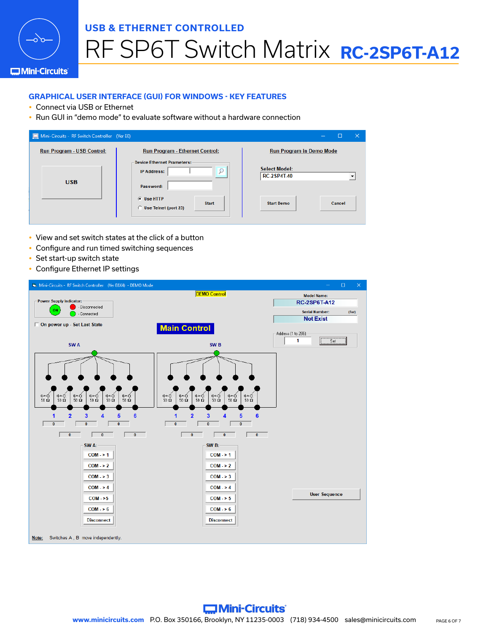

# RF SP6T Switch Matrix **RC-2SP6T-A12**

### **C**Mini-Circuits

### **GRAPHICAL USER INTERFACE (GUI) FOR WINDOWS - KEY FEATURES**

- Connect via USB or Ethernet
- Run GUI in "demo mode" to evaluate software without a hardware connection

| Mini-Circuits - RF Switch Controller (Ver E0) |                                                                      | □<br>x                                     |
|-----------------------------------------------|----------------------------------------------------------------------|--------------------------------------------|
| <b>Run Program - USB Control:</b>             | <b>Run Program - Ethernet Control:</b>                               | <b>Run Program in Demo Mode</b>            |
| <b>USB</b>                                    | <b>Device Ethernet Prameters:</b><br><b>IP Address:</b><br>Password: | <b>Select Model:</b><br><b>RC-2SP4T-40</b> |
|                                               | <b>G</b> Use HTTP<br><b>Start</b><br><b>Use Telnet (port 23)</b>     | <b>Start Demo</b><br>Cancel                |

- View and set switch states at the click of a button
- Configure and run timed switching sequences
- Set start-up switch state
- Configure Ethernet IP settings